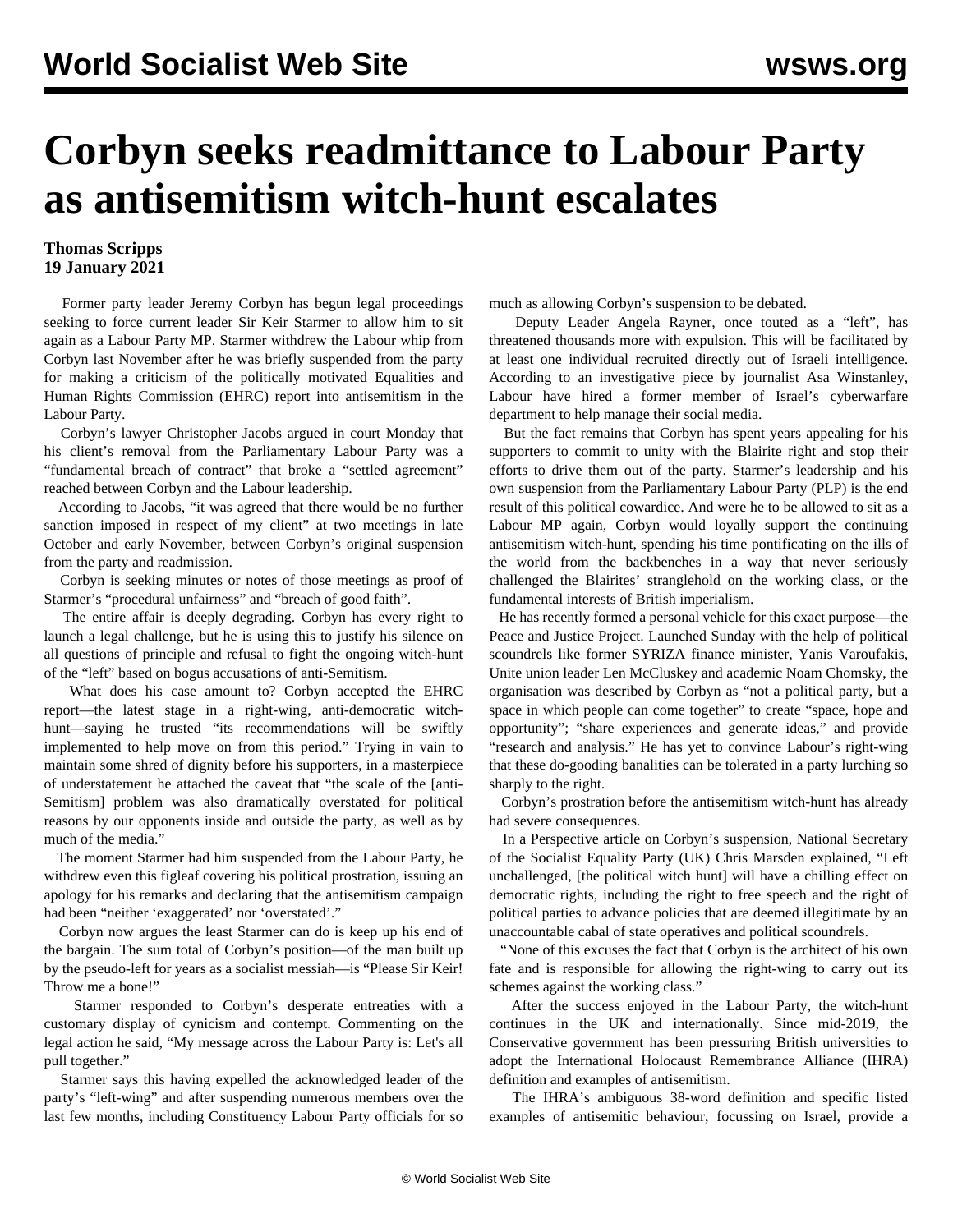## **Corbyn seeks readmittance to Labour Party as antisemitism witch-hunt escalates**

## **Thomas Scripps 19 January 2021**

 Former party leader Jeremy Corbyn has begun legal proceedings seeking to force current leader Sir Keir Starmer to allow him to sit again as a Labour Party MP. Starmer withdrew the Labour whip from Corbyn last November after he was briefly suspended from the party for making a criticism of the politically motivated Equalities and Human Rights Commission (EHRC) report into antisemitism in the Labour Party.

 Corbyn's lawyer Christopher Jacobs argued in court Monday that his client's removal from the Parliamentary Labour Party was a "fundamental breach of contract" that broke a "settled agreement" reached between Corbyn and the Labour leadership.

 According to Jacobs, "it was agreed that there would be no further sanction imposed in respect of my client" at two meetings in late October and early November, between Corbyn's original suspension from the party and readmission.

 Corbyn is seeking minutes or notes of those meetings as proof of Starmer's "procedural unfairness" and "breach of good faith".

 The entire affair is deeply degrading. Corbyn has every right to launch a legal challenge, but he is using this to justify his silence on all questions of principle and refusal to fight the ongoing witch-hunt of the "left" based on bogus accusations of anti-Semitism.

 What does his case amount to? Corbyn accepted the EHRC report—the latest stage in a right-wing, anti-democratic witchhunt—saying he trusted "its recommendations will be swiftly implemented to help move on from this period." Trying in vain to maintain some shred of dignity before his supporters, in a masterpiece of understatement he attached the caveat that "the scale of the [anti-Semitism] problem was also dramatically overstated for political reasons by our opponents inside and outside the party, as well as by much of the media."

 The moment Starmer had him suspended from the Labour Party, he withdrew even this figleaf covering his political prostration, issuing an apology for his remarks and declaring that the antisemitism campaign had been "neither 'exaggerated' nor 'overstated'."

 Corbyn now argues the least Starmer can do is keep up his end of the bargain. The sum total of Corbyn's position—of the man built up by the pseudo-left for years as a socialist messiah—is "Please Sir Keir! Throw me a bone!"

 Starmer responded to Corbyn's desperate entreaties with a customary display of cynicism and contempt. Commenting on the legal action he said, "My message across the Labour Party is: Let's all pull together."

 Starmer says this having expelled the acknowledged leader of the party's "left-wing" and after suspending numerous members over the last few months, including Constituency Labour Party officials for so much as allowing Corbyn's suspension to be debated.

 Deputy Leader Angela Rayner, once touted as a "left", has threatened thousands more with expulsion. This will be facilitated by at least one individual recruited directly out of Israeli intelligence. According to an investigative piece by journalist Asa Winstanley, Labour have hired a former member of Israel's cyberwarfare department to help manage their social media.

 But the fact remains that Corbyn has spent years appealing for his supporters to commit to unity with the Blairite right and stop their efforts to drive them out of the party. Starmer's leadership and his own suspension from the Parliamentary Labour Party (PLP) is the end result of this political cowardice. And were he to be allowed to sit as a Labour MP again, Corbyn would loyally support the continuing antisemitism witch-hunt, spending his time pontificating on the ills of the world from the backbenches in a way that never seriously challenged the Blairites' stranglehold on the working class, or the fundamental interests of British imperialism.

 He has recently [formed](/en/articles/2020/12/21/corb-d21.html) a personal vehicle for this exact purpose—the Peace and Justice Project. Launched Sunday with the help of political scoundrels like former SYRIZA finance minister, Yanis Varoufakis, Unite union leader Len McCluskey and academic Noam Chomsky, the organisation was described by Corbyn as "not a political party, but a space in which people can come together" to create "space, hope and opportunity"; "share experiences and generate ideas," and provide "research and analysis." He has yet to convince Labour's right-wing that these do-gooding banalities can be tolerated in a party lurching so sharply to the right.

 Corbyn's prostration before the antisemitism witch-hunt has already had severe consequences.

 In a Perspective article on Corbyn's suspension, National Secretary of the Socialist Equality Party (UK) Chris Marsden [explained,](/en/articles/2020/10/30/pers-o30.html) "Left unchallenged, [the political witch hunt] will have a chilling effect on democratic rights, including the right to free speech and the right of political parties to advance policies that are deemed illegitimate by an unaccountable cabal of state operatives and political scoundrels.

 "None of this excuses the fact that Corbyn is the architect of his own fate and is responsible for allowing the right-wing to carry out its schemes against the working class."

 After the success enjoyed in the Labour Party, the witch-hunt continues in the UK and internationally. Since mid-2019, the Conservative government has been pressuring British universities to adopt the International Holocaust Remembrance Alliance (IHRA) definition and examples of antisemitism.

 The IHRA's ambiguous 38-word definition and specific listed examples of antisemitic behaviour, focussing on Israel, provide a